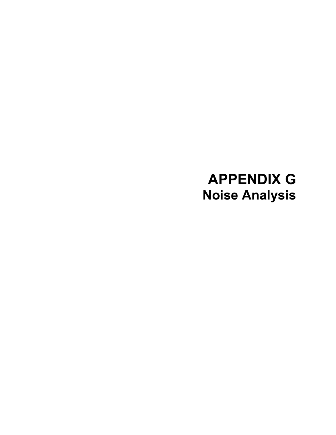# **APPENDIX G Noise Analysis**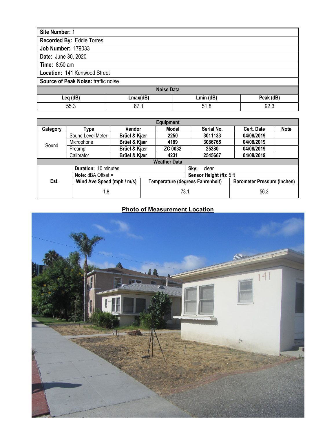| Site Number: 1                   |                                     |           |           |  |  |
|----------------------------------|-------------------------------------|-----------|-----------|--|--|
| <b>Recorded By: Eddie Torres</b> |                                     |           |           |  |  |
| <b>Job Number: 179033</b>        |                                     |           |           |  |  |
| <b>Date: June 30, 2020</b>       |                                     |           |           |  |  |
| <b>Time: 8:50 am</b>             |                                     |           |           |  |  |
|                                  | Location: 141 Kenwood Street        |           |           |  |  |
|                                  | Source of Peak Noise: traffic noise |           |           |  |  |
| <b>Noise Data</b>                |                                     |           |           |  |  |
| Leq (dB)                         | Lmax(dB)                            | Lmin (dB) | Peak (dB) |  |  |
| 55.3                             | 67.1                                | 51.8      | 92.3      |  |  |

|          | <b>Equipment</b>                             |              |                                  |                          |                                    |             |
|----------|----------------------------------------------|--------------|----------------------------------|--------------------------|------------------------------------|-------------|
| Category | Type                                         | Vendor       | Model                            | Serial No.               | <b>Cert. Date</b>                  | <b>Note</b> |
|          | Sound Level Meter                            | Brüel & Kjær | 2250                             | 3011133                  | 04/08/2019                         |             |
| Sound    | Microphone                                   | Brüel & Kjær | 4189                             | 3086765                  | 04/08/2019                         |             |
|          | Preamp                                       | Brüel & Kjær | <b>ZC 0032</b>                   | 25380                    | 04/08/2019                         |             |
|          | Calibrator                                   | Brüel & Kjær | 4231                             | 2545667                  | 04/08/2019                         |             |
|          |                                              |              | <b>Weather Data</b>              |                          |                                    |             |
|          | <b>Duration: 10 minutes</b><br>Sky:<br>clear |              |                                  |                          |                                    |             |
|          | <b>Note:</b> $dBA$ Offset =                  |              |                                  | Sensor Height (ft): 5 ft |                                    |             |
| Est.     | Wind Ave Speed (mph / m/s)                   |              | Temperature (degrees Fahrenheit) |                          | <b>Barometer Pressure (inches)</b> |             |
|          | 1.8                                          |              |                                  | 73.1                     | 56.3                               |             |

# **Photo of Measurement Location**

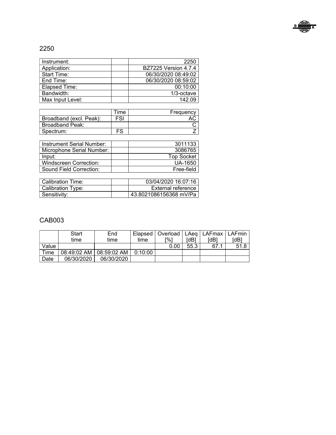

# 2250

| Instrument:        | 2250                        |
|--------------------|-----------------------------|
| Application:       | <b>BZ7225 Version 4.7.4</b> |
| <b>Start Time:</b> | 06/30/2020 08:49:02         |
| End Time:          | 06/30/2020 08:59:02         |
| Elapsed Time:      | 00:10:00                    |
| Bandwidth:         | 1/3-octave                  |
| Max Input Level:   | 142.09                      |

|                         | . ime | Frequency |
|-------------------------|-------|-----------|
| Broadband (excl. Peak): | FSI   |           |
| Broadband Peak:         |       |           |
| Spectrum:               | гc    |           |

| Instrument Serial Number: | 3011133           |
|---------------------------|-------------------|
| Microphone Serial Number: | 3086765           |
| Input:                    | <b>Top Socket</b> |
| Windscreen Correction:    | UA-1650           |
| Sound Field Correction:   | Free-field        |

| Calibration Time: | 03/04/2020 16:07:16    |  |
|-------------------|------------------------|--|
| Calibration Type: | External reference     |  |
| Sensitivity:      | 43.8021086156368 mV/Pa |  |

|       | <b>Start</b> | End                       |         | Elapsed   Overload   LAeg   LAFmax   LAFmin |      |      |      |
|-------|--------------|---------------------------|---------|---------------------------------------------|------|------|------|
|       | time         | time                      | time    | [%]                                         | [dB] | [dB] | [dB] |
| Value |              |                           |         | 0.00                                        | 55.3 | 67.1 | 51.8 |
| Time  |              | 08:49:02 AM   08:59:02 AM | 0:10:00 |                                             |      |      |      |
| Date  | 06/30/2020   | 06/30/2020                |         |                                             |      |      |      |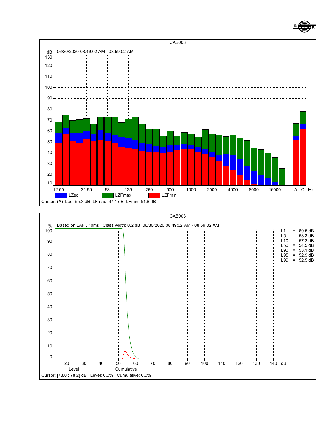

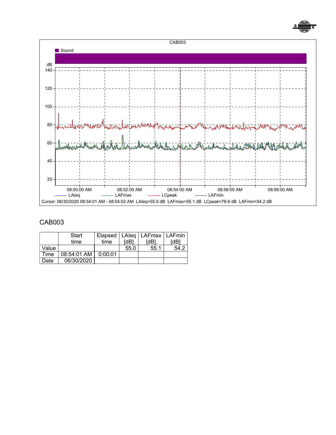



|       | Start       |         |      | Elapsed   LAIeq   LAFmax   LAFmin |                  |
|-------|-------------|---------|------|-----------------------------------|------------------|
|       | time        | time    | [dB] | [dB]                              | <sup>r</sup> dB1 |
| Value |             |         | 55.0 | 55.1                              | 54.2             |
| Time  | 08:54:01 AM | 0:00:01 |      |                                   |                  |
| Date  | 06/30/2020  |         |      |                                   |                  |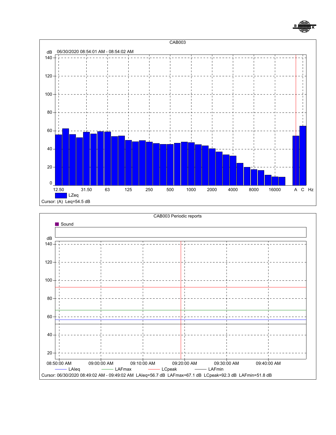



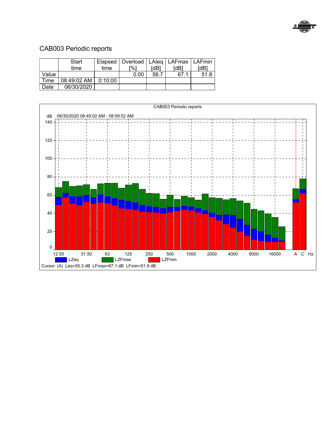

# CAB003 Periodic reports

|       | <b>Start</b>                 |      | Elapsed   Overload   LAIeq   LAFmax   LAFmin |      |                  |      |
|-------|------------------------------|------|----------------------------------------------|------|------------------|------|
|       | time                         | time | -%1                                          | [dB] | <sup>r</sup> dB1 | [dB] |
| Value |                              |      | 0.00                                         | 56.7 | 67.1             | 51.8 |
| Time  | $08:49:02$ AM $\mid$ 0:10:00 |      |                                              |      |                  |      |
| Date  | 06/30/2020                   |      |                                              |      |                  |      |

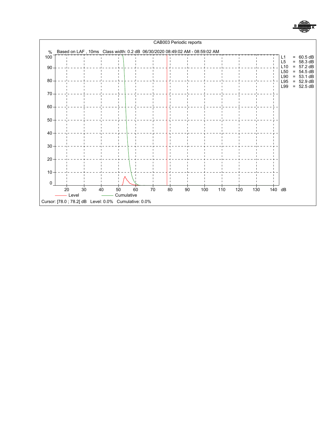

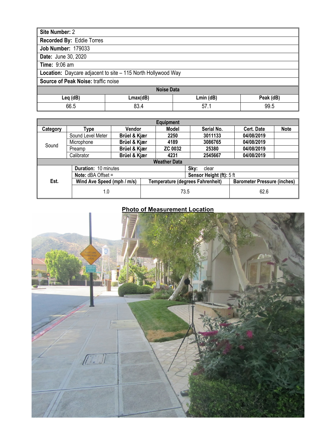| Site Number: 2                      |                                                              |                 |           |  |  |
|-------------------------------------|--------------------------------------------------------------|-----------------|-----------|--|--|
| Recorded By: Eddie Torres           |                                                              |                 |           |  |  |
| <b>Job Number: 179033</b>           |                                                              |                 |           |  |  |
| <b>Date: June 30, 2020</b>          |                                                              |                 |           |  |  |
| Time: 9:06 am                       |                                                              |                 |           |  |  |
|                                     | Location: Daycare adjacent to site - 115 North Hollywood Way |                 |           |  |  |
| Source of Peak Noise: traffic noise |                                                              |                 |           |  |  |
| <b>Noise Data</b>                   |                                                              |                 |           |  |  |
| Leq (dB)                            | Lmax(dB)                                                     | $Lmin$ ( $dB$ ) | Peak (dB) |  |  |
| 66.5                                | 83.4                                                         | 57.1            | 99.5      |  |  |

|          | <b>Equipment</b>                                        |              |                     |                                  |            |                                    |
|----------|---------------------------------------------------------|--------------|---------------------|----------------------------------|------------|------------------------------------|
| Category | Type                                                    | Vendor       | Model               | Serial No.                       | Cert. Date | <b>Note</b>                        |
|          | Sound Level Meter                                       | Brüel & Kjær | 2250                | 3011133                          | 04/08/2019 |                                    |
| Sound    | Microphone                                              | Brüel & Kjær | 4189                | 3086765                          | 04/08/2019 |                                    |
|          | Preamp                                                  | Brüel & Kjær | <b>ZC 0032</b>      | 25380                            | 04/08/2019 |                                    |
|          | Calibrator                                              | Brüel & Kjær | 4231                | 2545667                          | 04/08/2019 |                                    |
|          |                                                         |              | <b>Weather Data</b> |                                  |            |                                    |
|          | Duration: 10 minutes                                    |              |                     | Sky:<br>clear                    |            |                                    |
|          | <b>Note:</b> $dBA$ Offset =<br>Sensor Height (ft): 5 ft |              |                     |                                  |            |                                    |
| Est.     | Wind Ave Speed (mph / m/s)                              |              |                     | Temperature (degrees Fahrenheit) |            | <b>Barometer Pressure (inches)</b> |
| 1.0      |                                                         |              | 73.5                |                                  | 62.6       |                                    |

# **Photo of Measurement Location**

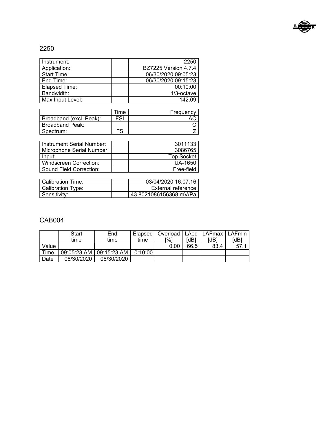

# 2250

| Instrument:      | 2250                        |
|------------------|-----------------------------|
| Application:     | <b>BZ7225 Version 4.7.4</b> |
| Start Time:      | 06/30/2020 09:05:23         |
| End Time:        | 06/30/2020 09:15:23         |
| Elapsed Time:    | 00:10:00                    |
| Bandwidth:       | 1/3-octave                  |
| Max Input Level: | 142.09                      |

|                         | . ime | Frequency |
|-------------------------|-------|-----------|
| Broadband (excl. Peak): | FSI   |           |
| Broadband Peak:         |       |           |
| Spectrum:               | гc    |           |

| Instrument Serial Number:     | 3011133           |
|-------------------------------|-------------------|
| Microphone Serial Number:     | 3086765           |
| Input:                        | <b>Top Socket</b> |
| <b>Windscreen Correction:</b> | UA-1650           |
| Sound Field Correction:       | Free-field        |

| Calibration Time: | 03/04/2020 16:07:16    |  |
|-------------------|------------------------|--|
| Calibration Type: | External reference     |  |
| Sensitivity:      | 43.8021086156368 mV/Pa |  |

|       | <b>Start</b> | End                       |         | Elapsed   Overload   LAeg   LAFmax   LAFmin |      |      |      |
|-------|--------------|---------------------------|---------|---------------------------------------------|------|------|------|
|       | time         | time                      | time    | [%]                                         | [dB] | [dB] | [dB] |
| Value |              |                           |         | 0.00                                        | 66.5 | 83.4 | 57   |
| Time  |              | 09:05:23 AM   09:15:23 AM | 0:10:00 |                                             |      |      |      |
| Date  | 06/30/2020   | 06/30/2020                |         |                                             |      |      |      |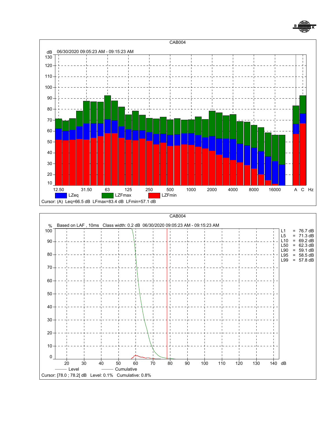

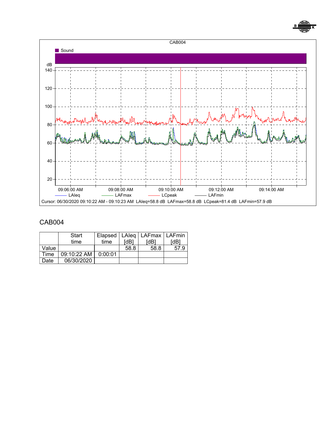



|       | Start           |         |      | Elapsed   LAIeq   LAFmax   LAFmin |      |
|-------|-----------------|---------|------|-----------------------------------|------|
|       | time            | time    | [dB] | [dB]                              | [dB] |
| Value |                 |         | 58.8 | 58.8                              | 57.9 |
| Time  | $09:10:22$ AM I | 0:00:01 |      |                                   |      |
| Date  | 06/30/2020      |         |      |                                   |      |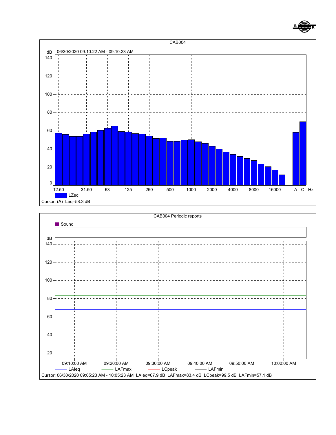

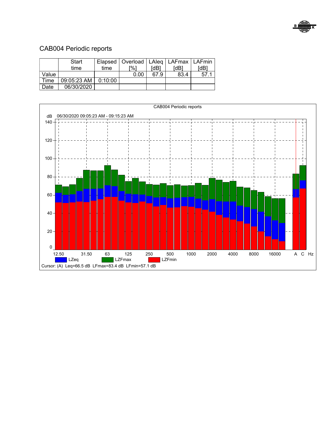

# CAB004 Periodic reports

|       | <b>Start</b>              |      | Elapsed   Overload   LAIeq   LAFmax   LAFmin |      |                  |      |
|-------|---------------------------|------|----------------------------------------------|------|------------------|------|
|       | time                      | time | -%1                                          | [dB] | <sup>r</sup> dB1 | [dB] |
| Value |                           |      | 0.00                                         | 67.9 | 83.4             | 57.1 |
| Time  | $09:05:23$ AM   $0:10:00$ |      |                                              |      |                  |      |
| Date  | 06/30/2020                |      |                                              |      |                  |      |